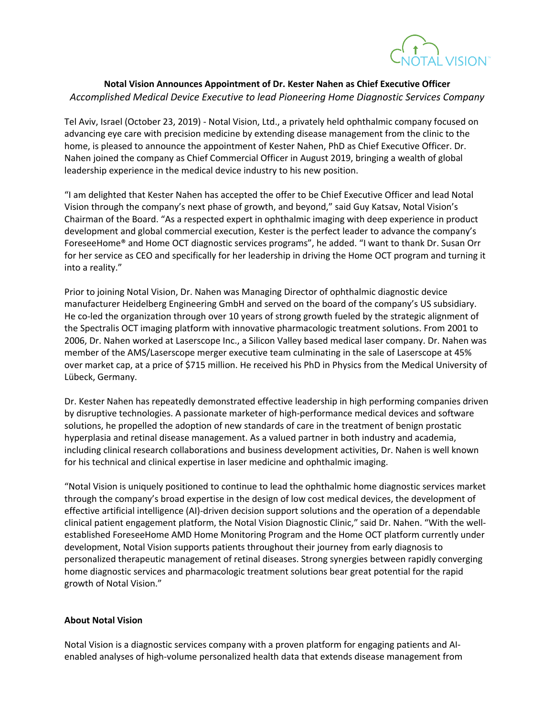

## **Notal Vision Announces Appointment of Dr. Kester Nahen as Chief Executive Officer** *Accomplished Medical Device Executive to lead Pioneering Home Diagnostic Services Company*

Tel Aviv, Israel (October 23, 2019) - Notal Vision, Ltd., a privately held ophthalmic company focused on advancing eye care with precision medicine by extending disease management from the clinic to the home, is pleased to announce the appointment of Kester Nahen, PhD as Chief Executive Officer. Dr. Nahen joined the company as Chief Commercial Officer in August 2019, bringing a wealth of global leadership experience in the medical device industry to his new position.

"I am delighted that Kester Nahen has accepted the offer to be Chief Executive Officer and lead Notal Vision through the company's next phase of growth, and beyond," said Guy Katsav, Notal Vision's Chairman of the Board. "As a respected expert in ophthalmic imaging with deep experience in product development and global commercial execution, Kester is the perfect leader to advance the company's ForeseeHome® and Home OCT diagnostic services programs", he added. "I want to thank Dr. Susan Orr for her service as CEO and specifically for her leadership in driving the Home OCT program and turning it into a reality."

Prior to joining Notal Vision, Dr. Nahen was Managing Director of ophthalmic diagnostic device manufacturer Heidelberg Engineering GmbH and served on the board of the company's US subsidiary. He co-led the organization through over 10 years of strong growth fueled by the strategic alignment of the Spectralis OCT imaging platform with innovative pharmacologic treatment solutions. From 2001 to 2006, Dr. Nahen worked at Laserscope Inc., a Silicon Valley based medical laser company. Dr. Nahen was member of the AMS/Laserscope merger executive team culminating in the sale of Laserscope at 45% over market cap, at a price of \$715 million. He received his PhD in Physics from the Medical University of Lübeck, Germany.

Dr. Kester Nahen has repeatedly demonstrated effective leadership in high performing companies driven by disruptive technologies. A passionate marketer of high-performance medical devices and software solutions, he propelled the adoption of new standards of care in the treatment of benign prostatic hyperplasia and retinal disease management. As a valued partner in both industry and academia, including clinical research collaborations and business development activities, Dr. Nahen is well known for his technical and clinical expertise in laser medicine and ophthalmic imaging.

"Notal Vision is uniquely positioned to continue to lead the ophthalmic home diagnostic services market through the company's broad expertise in the design of low cost medical devices, the development of effective artificial intelligence (AI)-driven decision support solutions and the operation of a dependable clinical patient engagement platform, the Notal Vision Diagnostic Clinic," said Dr. Nahen. "With the wellestablished ForeseeHome AMD Home Monitoring Program and the Home OCT platform currently under development, Notal Vision supports patients throughout their journey from early diagnosis to personalized therapeutic management of retinal diseases. Strong synergies between rapidly converging home diagnostic services and pharmacologic treatment solutions bear great potential for the rapid growth of Notal Vision."

## **About Notal Vision**

Notal Vision is a diagnostic services company with a proven platform for engaging patients and AIenabled analyses of high-volume personalized health data that extends disease management from